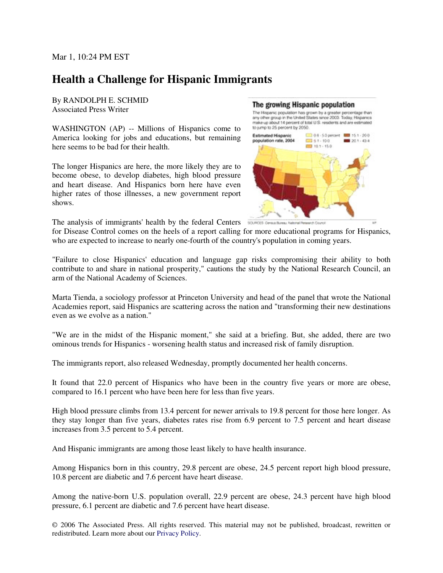## **Health a Challenge for Hispanic Immigrants**

By RANDOLPH E. SCHMID Associated Press Writer

WASHINGTON (AP) -- Millions of Hispanics come to America looking for jobs and educations, but remaining here seems to be bad for their health.

The longer Hispanics are here, the more likely they are to become obese, to develop diabetes, high blood pressure and heart disease. And Hispanics born here have even higher rates of those illnesses, a new government report shows.

## The growing Hispanic population

The Hispanic population has grown by a greater percentage than<br>any other group in the United States since 2003. Today, Hispanics<br>make up about 14 percent of total U.S. residents and are estimated to jump to 25 percent by 2050.



The analysis of immigrants' health by the federal Centers

for Disease Control comes on the heels of a report calling for more educational programs for Hispanics, who are expected to increase to nearly one-fourth of the country's population in coming years.

"Failure to close Hispanics' education and language gap risks compromising their ability to both contribute to and share in national prosperity," cautions the study by the National Research Council, an arm of the National Academy of Sciences.

Marta Tienda, a sociology professor at Princeton University and head of the panel that wrote the National Academies report, said Hispanics are scattering across the nation and "transforming their new destinations even as we evolve as a nation."

"We are in the midst of the Hispanic moment," she said at a briefing. But, she added, there are two ominous trends for Hispanics - worsening health status and increased risk of family disruption.

The immigrants report, also released Wednesday, promptly documented her health concerns.

It found that 22.0 percent of Hispanics who have been in the country five years or more are obese, compared to 16.1 percent who have been here for less than five years.

High blood pressure climbs from 13.4 percent for newer arrivals to 19.8 percent for those here longer. As they stay longer than five years, diabetes rates rise from 6.9 percent to 7.5 percent and heart disease increases from 3.5 percent to 5.4 percent.

And Hispanic immigrants are among those least likely to have health insurance.

Among Hispanics born in this country, 29.8 percent are obese, 24.5 percent report high blood pressure, 10.8 percent are diabetic and 7.6 percent have heart disease.

Among the native-born U.S. population overall, 22.9 percent are obese, 24.3 percent have high blood pressure, 6.1 percent are diabetic and 7.6 percent have heart disease.

© 2006 The Associated Press. All rights reserved. This material may not be published, broadcast, rewritten or redistributed. Learn more about our Privacy Policy.